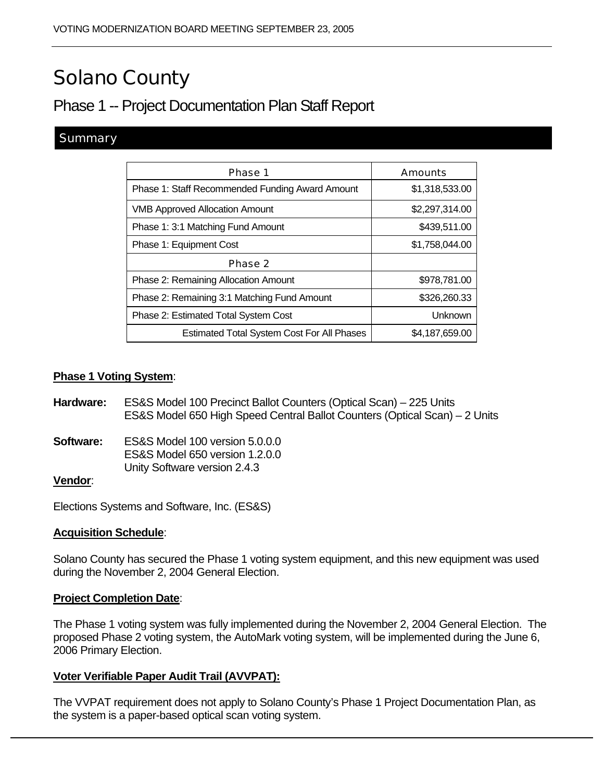# Solano County

## Phase 1 -- Project Documentation Plan Staff Report

#### **Summary**

| Phase 1                                           | <b>Amounts</b> |
|---------------------------------------------------|----------------|
| Phase 1: Staff Recommended Funding Award Amount   | \$1,318,533.00 |
| <b>VMB Approved Allocation Amount</b>             | \$2,297,314.00 |
| Phase 1: 3:1 Matching Fund Amount                 | \$439,511.00   |
| Phase 1: Equipment Cost                           | \$1,758,044.00 |
| Phase 2                                           |                |
| <b>Phase 2: Remaining Allocation Amount</b>       | \$978,781.00   |
| Phase 2: Remaining 3:1 Matching Fund Amount       | \$326,260.33   |
| Phase 2: Estimated Total System Cost              | Unknown        |
| <b>Estimated Total System Cost For All Phases</b> | \$4,187,659.00 |

#### **Phase 1 Voting System**:

- **Hardware:** ES&S Model 100 Precinct Ballot Counters (Optical Scan) 225 Units ES&S Model 650 High Speed Central Ballot Counters (Optical Scan) – 2 Units
- **Software:** ES&S Model 100 version 5.0.0.0 ES&S Model 650 version 1.2.0.0 Unity Software version 2.4.3

#### **Vendor**:

Elections Systems and Software, Inc. (ES&S)

#### **Acquisition Schedule**:

Solano County has secured the Phase 1 voting system equipment, and this new equipment was used during the November 2, 2004 General Election.

#### **Project Completion Date**:

The Phase 1 voting system was fully implemented during the November 2, 2004 General Election. The proposed Phase 2 voting system, the AutoMark voting system, will be implemented during the June 6, 2006 Primary Election.

#### **Voter Verifiable Paper Audit Trail (AVVPAT):**

The VVPAT requirement does not apply to Solano County's Phase 1 Project Documentation Plan, as the system is a paper-based optical scan voting system.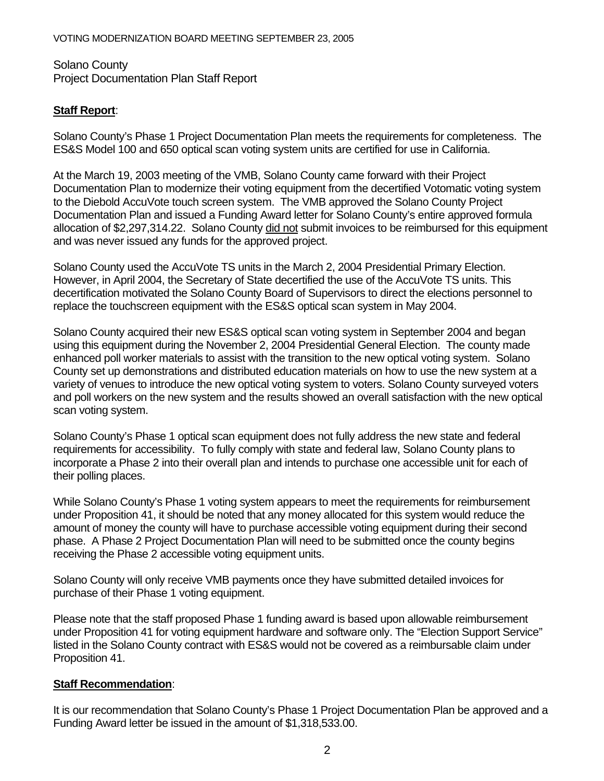Solano County Project Documentation Plan Staff Report

#### **Staff Report**:

Solano County's Phase 1 Project Documentation Plan meets the requirements for completeness. The ES&S Model 100 and 650 optical scan voting system units are certified for use in California.

At the March 19, 2003 meeting of the VMB, Solano County came forward with their Project Documentation Plan to modernize their voting equipment from the decertified Votomatic voting system to the Diebold AccuVote touch screen system. The VMB approved the Solano County Project Documentation Plan and issued a Funding Award letter for Solano County's entire approved formula allocation of \$2,297,314.22. Solano County did not submit invoices to be reimbursed for this equipment and was never issued any funds for the approved project.

Solano County used the AccuVote TS units in the March 2, 2004 Presidential Primary Election. However, in April 2004, the Secretary of State decertified the use of the AccuVote TS units. This decertification motivated the Solano County Board of Supervisors to direct the elections personnel to replace the touchscreen equipment with the ES&S optical scan system in May 2004.

Solano County acquired their new ES&S optical scan voting system in September 2004 and began using this equipment during the November 2, 2004 Presidential General Election. The county made enhanced poll worker materials to assist with the transition to the new optical voting system. Solano County set up demonstrations and distributed education materials on how to use the new system at a variety of venues to introduce the new optical voting system to voters. Solano County surveyed voters and poll workers on the new system and the results showed an overall satisfaction with the new optical scan voting system.

Solano County's Phase 1 optical scan equipment does not fully address the new state and federal requirements for accessibility. To fully comply with state and federal law, Solano County plans to incorporate a Phase 2 into their overall plan and intends to purchase one accessible unit for each of their polling places.

While Solano County's Phase 1 voting system appears to meet the requirements for reimbursement under Proposition 41, it should be noted that any money allocated for this system would reduce the amount of money the county will have to purchase accessible voting equipment during their second phase. A Phase 2 Project Documentation Plan will need to be submitted once the county begins receiving the Phase 2 accessible voting equipment units.

Solano County will only receive VMB payments once they have submitted detailed invoices for purchase of their Phase 1 voting equipment.

Please note that the staff proposed Phase 1 funding award is based upon allowable reimbursement under Proposition 41 for voting equipment hardware and software only. The "Election Support Service" listed in the Solano County contract with ES&S would not be covered as a reimbursable claim under Proposition 41.

#### **Staff Recommendation**:

It is our recommendation that Solano County's Phase 1 Project Documentation Plan be approved and a Funding Award letter be issued in the amount of \$1,318,533.00.